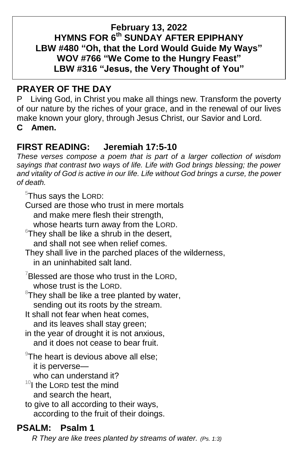## **February 13, 2022 HYMNS FOR 6 th SUNDAY AFTER EPIPHANY LBW #480 "Oh, that the Lord Would Guide My Ways" WOV #766 "We Come to the Hungry Feast" LBW #316 "Jesus, the Very Thought of You"**

# **PRAYER OF THE DAY**

P Living God, in Christ you make all things new. Transform the poverty of our nature by the riches of your grace, and in the renewal of our lives make known your glory, through Jesus Christ, our Savior and Lord. **C Amen.**

# **FIRST READING: Jeremiah 17:5-10**

*These verses compose a poem that is part of a larger collection of wisdom sayings that contrast two ways of life. Life with God brings blessing; the power and vitality of God is active in our life. Life without God brings a curse, the power of death.*

<sup>5</sup>Thus says the LORD:

Cursed are those who trust in mere mortals

and make mere flesh their strength,

whose hearts turn away from the LORD.

 $6$ Thev shall be like a shrub in the desert. and shall not see when relief comes.

They shall live in the parched places of the wilderness, in an uninhabited salt land.

- $7$ Blessed are those who trust in the LORD, whose trust is the LORD.
- $\mathrm{^{8}}$ They shall be like a tree planted by water, sending out its roots by the stream.
- It shall not fear when heat comes, and its leaves shall stay green;
- in the year of drought it is not anxious, and it does not cease to bear fruit.
- $\rm{P}$ The heart is devious above all else; it is perverse who can understand it?
- $10I$  the LORD test the mind and search the heart,

to give to all according to their ways, according to the fruit of their doings.

# **PSALM: Psalm 1**

 *R They are like trees planted by streams of water. (Ps. 1:3)*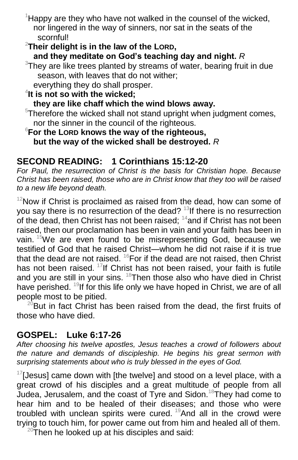$1$ Happy are they who have not walked in the counsel of the wicked, nor lingered in the way of sinners, nor sat in the seats of the scornful!

# <sup>2</sup>**Their delight is in the law of the LORD,**

## **and they meditate on God's teaching day and night.** *R*

 $3$ They are like trees planted by streams of water, bearing fruit in due season, with leaves that do not wither;

everything they do shall prosper.

# 4 **It is not so with the wicked;**

**they are like chaff which the wind blows away.**

 $5$ Therefore the wicked shall not stand upright when judgment comes, nor the sinner in the council of the righteous.

### <sup>6</sup>**For the LORD knows the way of the righteous, but the way of the wicked shall be destroyed.** *R*

## **SECOND READING: 1 Corinthians 15:12-20**

*For Paul, the resurrection of Christ is the basis for Christian hope. Because Christ has been raised, those who are in Christ know that they too will be raised to a new life beyond death.*

 $12$ Now if Christ is proclaimed as raised from the dead, how can some of you say there is no resurrection of the dead? <sup>13</sup>If there is no resurrection of the dead, then Christ has not been raised;  $14$  and if Christ has not been raised, then our proclamation has been in vain and your faith has been in vain. <sup>15</sup>We are even found to be misrepresenting God, because we testified of God that he raised Christ—whom he did not raise if it is true that the dead are not raised.  $^{16}$ For if the dead are not raised, then Christ has not been raised. <sup>17</sup>If Christ has not been raised, your faith is futile and you are still in your sins. <sup>18</sup>Then those also who have died in Christ have perished. <sup>19</sup>If for this life only we have hoped in Christ, we are of all people most to be pitied.

 $20$ But in fact Christ has been raised from the dead, the first fruits of those who have died.

## **GOSPEL: Luke 6:17-26**

*After choosing his twelve apostles, Jesus teaches a crowd of followers about the nature and demands of discipleship. He begins his great sermon with surprising statements about who is truly blessed in the eyes of God.*

 $17$ [Jesus] came down with [the twelve] and stood on a level place, with a great crowd of his disciples and a great multitude of people from all Judea, Jerusalem, and the coast of Tyre and Sidon.<sup>18</sup>They had come to hear him and to be healed of their diseases; and those who were troubled with unclean spirits were cured.  $^{19}$ And all in the crowd were trying to touch him, for power came out from him and healed all of them.

 $20$ Then he looked up at his disciples and said: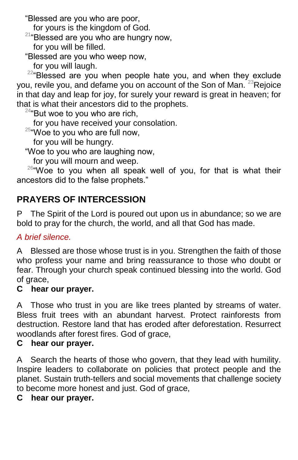"Blessed are you who are poor,

for yours is the kingdom of God.

 $21^{\circ}$ Blessed are you who are hungry now,

for you will be filled.

"Blessed are you who weep now,

for you will laugh.

 $22^{\alpha}$ Blessed are you when people hate you, and when they exclude you, revile you, and defame you on account of the Son of Man.  $^{23}$ Rejoice in that day and leap for joy, for surely your reward is great in heaven; for that is what their ancestors did to the prophets.

 $24$ "But woe to you who are rich,

for you have received your consolation.

 $25$ "Woe to you who are full now,

for you will be hungry.

"Woe to you who are laughing now,

for you will mourn and weep.

<sup>26"</sup>Woe to you when all speak well of you, for that is what their ancestors did to the false prophets."

# **PRAYERS OF INTERCESSION**

P The Spirit of the Lord is poured out upon us in abundance; so we are bold to pray for the church, the world, and all that God has made.

## *A brief silence.*

A Blessed are those whose trust is in you. Strengthen the faith of those who profess your name and bring reassurance to those who doubt or fear. Through your church speak continued blessing into the world. God of grace,

## **C hear our prayer.**

A Those who trust in you are like trees planted by streams of water. Bless fruit trees with an abundant harvest. Protect rainforests from destruction. Restore land that has eroded after deforestation. Resurrect woodlands after forest fires. God of grace,

### **C hear our prayer.**

A Search the hearts of those who govern, that they lead with humility. Inspire leaders to collaborate on policies that protect people and the planet. Sustain truth-tellers and social movements that challenge society to become more honest and just. God of grace,

## **C hear our prayer.**